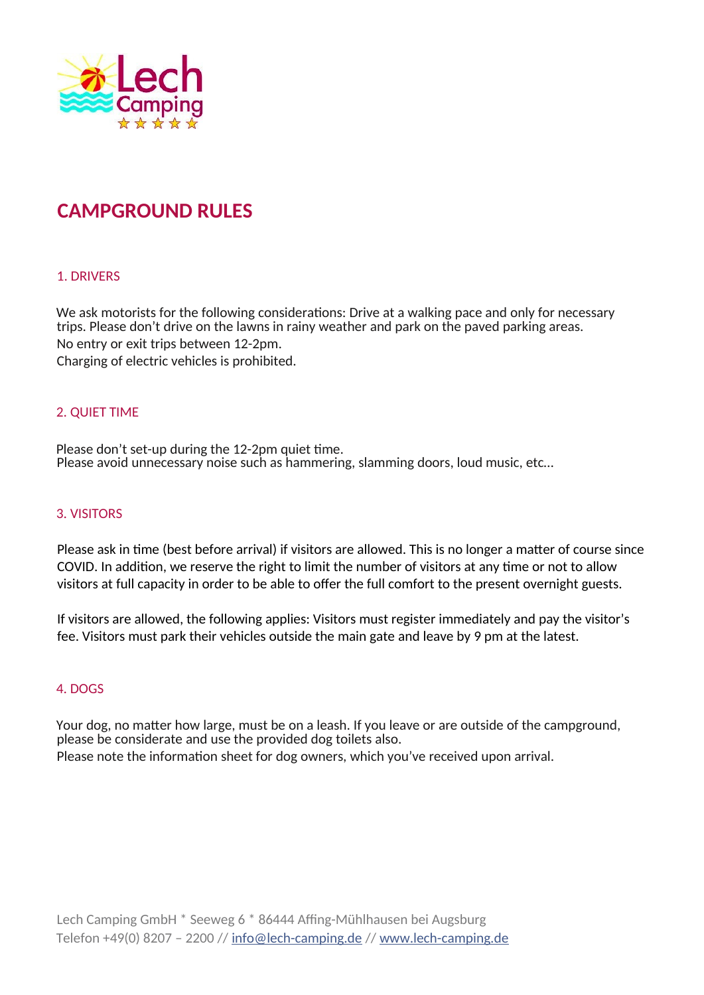

# **CAMPGROUND RULES**

# 1. DRIVERS

We ask motorists for the following considerations: Drive at a walking pace and only for necessary trips. Please don't drive on the lawns in rainy weather and park on the paved parking areas. No entry or exit trips between 12-2pm. Charging of electric vehicles is prohibited.

# 2. QUIET TIME

Please don't set-up during the 12-2pm quiet time. Please avoid unnecessary noise such as hammering, slamming doors, loud music, etc…

## 3. VISITORS

Please ask in time (best before arrival) if visitors are allowed. This is no longer a matter of course since COVID. In addition, we reserve the right to limit the number of visitors at any time or not to allow visitors at full capacity in order to be able to offer the full comfort to the present overnight guests.

If visitors are allowed, the following applies: Visitors must register immediately and pay the visitor's fee. Visitors must park their vehicles outside the main gate and leave by 9 pm at the latest.

#### 4. DOGS

Your dog, no matter how large, must be on a leash. If you leave or are outside of the campground, please be considerate and use the provided dog toilets also. Please note the information sheet for dog owners, which you've received upon arrival.